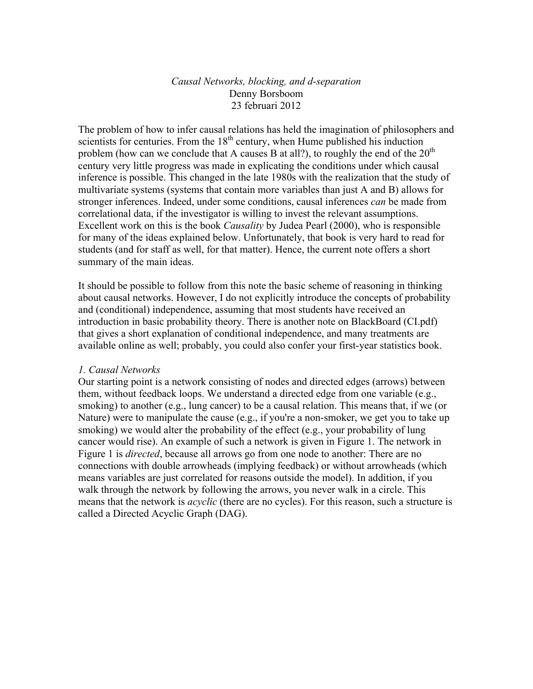# *Causal Networks, blocking, and d-separation* Denny Borsboom 23 februari 2012

The problem of how to infer causal relations has held the imagination of philosophers and scientists for centuries. From the  $18<sup>th</sup>$  century, when Hume published his induction problem (how can we conclude that A causes B at all?), to roughly the end of the  $20<sup>th</sup>$ century very little progress was made in explicating the conditions under which causal inference is possible. This changed in the late 1980s with the realization that the study of multivariate systems (systems that contain more variables than just A and B) allows for stronger inferences. Indeed, under some conditions, causal inferences *can* be made from correlational data, if the investigator is willing to invest the relevant assumptions. Excellent work on this is the book *Causality* by Judea Pearl (2000), who is responsible for many of the ideas explained below. Unfortunately, that book is very hard to read for students (and for staff as well, for that matter). Hence, the current note offers a short summary of the main ideas.

It should be possible to follow from this note the basic scheme of reasoning in thinking about causal networks. However, I do not explicitly introduce the concepts of probability and (conditional) independence, assuming that most students have received an introduction in basic probability theory. There is another note on BlackBoard (CI.pdf) that gives a short explanation of conditional independence, and many treatments are available online as well; probably, you could also confer your first-year statistics book.

## *1. Causal Networks*

Our starting point is a network consisting of nodes and directed edges (arrows) between them, without feedback loops. We understand a directed edge from one variable (e.g., smoking) to another (e.g., lung cancer) to be a causal relation. This means that, if we (or Nature) were to manipulate the cause (e.g., if you're a non-smoker, we get you to take up smoking) we would alter the probability of the effect (e.g., your probability of lung cancer would rise). An example of such a network is given in Figure 1. The network in Figure 1 is *directed*, because all arrows go from one node to another: There are no connections with double arrowheads (implying feedback) or without arrowheads (which means variables are just correlated for reasons outside the model). In addition, if you walk through the network by following the arrows, you never walk in a circle. This means that the network is *acyclic* (there are no cycles). For this reason, such a structure is called a Directed Acyclic Graph (DAG).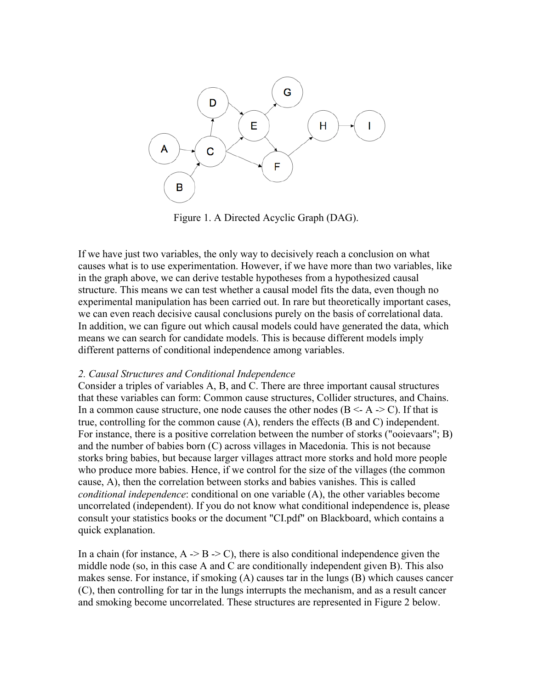

Figure 1. A Directed Acyclic Graph (DAG).

If we have just two variables, the only way to decisively reach a conclusion on what causes what is to use experimentation. However, if we have more than two variables, like in the graph above, we can derive testable hypotheses from a hypothesized causal structure. This means we can test whether a causal model fits the data, even though no experimental manipulation has been carried out. In rare but theoretically important cases, we can even reach decisive causal conclusions purely on the basis of correlational data. In addition, we can figure out which causal models could have generated the data, which means we can search for candidate models. This is because different models imply different patterns of conditional independence among variables.

#### *2. Causal Structures and Conditional Independence*

Consider a triples of variables A, B, and C. There are three important causal structures that these variables can form: Common cause structures, Collider structures, and Chains. In a common cause structure, one node causes the other nodes ( $B \leq A \geq C$ ). If that is true, controlling for the common cause (A), renders the effects (B and C) independent. For instance, there is a positive correlation between the number of storks ("ooievaars"; B) and the number of babies born (C) across villages in Macedonia. This is not because storks bring babies, but because larger villages attract more storks and hold more people who produce more babies. Hence, if we control for the size of the villages (the common cause, A), then the correlation between storks and babies vanishes. This is called *conditional independence*: conditional on one variable (A), the other variables become uncorrelated (independent). If you do not know what conditional independence is, please consult your statistics books or the document "CI.pdf" on Blackboard, which contains a quick explanation.

In a chain (for instance,  $A \rightarrow B \rightarrow C$ ), there is also conditional independence given the middle node (so, in this case A and C are conditionally independent given B). This also makes sense. For instance, if smoking (A) causes tar in the lungs (B) which causes cancer (C), then controlling for tar in the lungs interrupts the mechanism, and as a result cancer and smoking become uncorrelated. These structures are represented in Figure 2 below.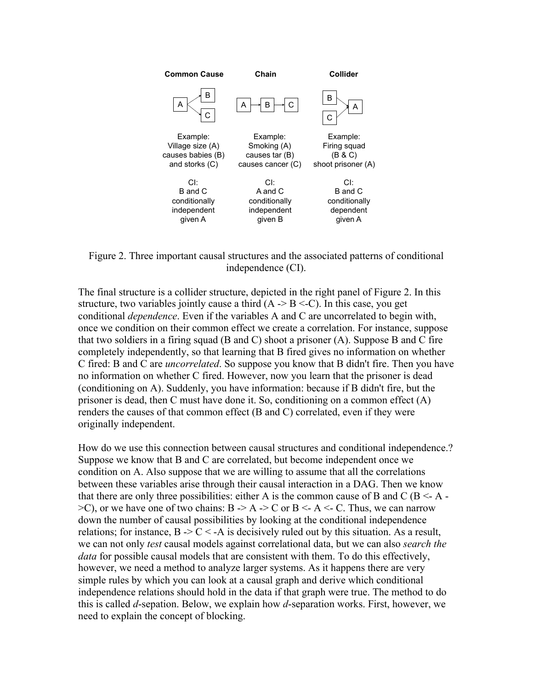

Figure 2. Three important causal structures and the associated patterns of conditional independence (CI).

The final structure is a collider structure, depicted in the right panel of Figure 2. In this structure, two variables jointly cause a third  $(A \geq B \leq C)$ . In this case, you get conditional *dependence*. Even if the variables A and C are uncorrelated to begin with, once we condition on their common effect we create a correlation. For instance, suppose that two soldiers in a firing squad  $(B \text{ and } C)$  shoot a prisoner  $(A)$ . Suppose B and C fire completely independently, so that learning that B fired gives no information on whether C fired: B and C are *uncorrelated*. So suppose you know that B didn't fire. Then you have no information on whether C fired. However, now you learn that the prisoner is dead (conditioning on A). Suddenly, you have information: because if B didn't fire, but the prisoner is dead, then C must have done it. So, conditioning on a common effect (A) renders the causes of that common effect (B and C) correlated, even if they were originally independent.

How do we use this connection between causal structures and conditional independence.? Suppose we know that B and C are correlated, but become independent once we condition on A. Also suppose that we are willing to assume that all the correlations between these variables arise through their causal interaction in a DAG. Then we know that there are only three possibilities: either A is the common cause of B and C ( $B < A \geq$ C), or we have one of two chains: B  $\geq$  A  $\geq$  C or B  $\leq$  A  $\leq$  C. Thus, we can narrow down the number of causal possibilities by looking at the conditional independence relations; for instance,  $B > C < -A$  is decisively ruled out by this situation. As a result, we can not only *test* causal models against correlational data, but we can also *search the data* for possible causal models that are consistent with them. To do this effectively, however, we need a method to analyze larger systems. As it happens there are very simple rules by which you can look at a causal graph and derive which conditional independence relations should hold in the data if that graph were true. The method to do this is called *d*-sepation. Below, we explain how *d*-separation works. First, however, we need to explain the concept of blocking.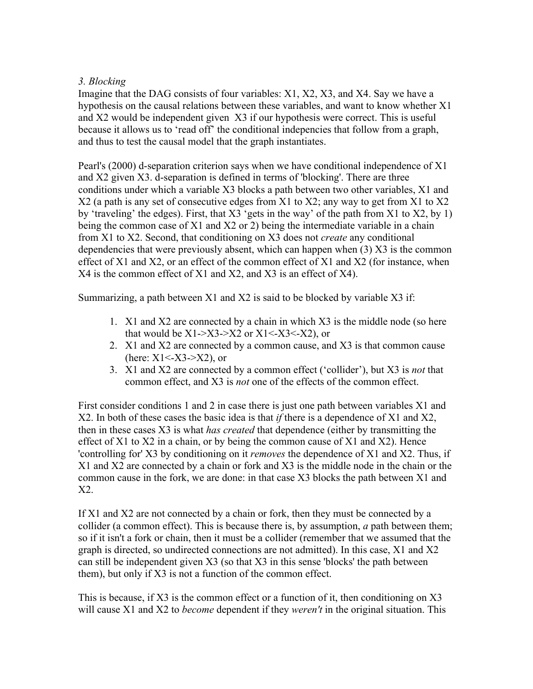# *3. Blocking*

Imagine that the DAG consists of four variables: X1, X2, X3, and X4. Say we have a hypothesis on the causal relations between these variables, and want to know whether X1 and X2 would be independent given X3 if our hypothesis were correct. This is useful because it allows us to 'read off' the conditional indepencies that follow from a graph, and thus to test the causal model that the graph instantiates.

Pearl's (2000) d-separation criterion says when we have conditional independence of X1 and X2 given X3. d-separation is defined in terms of 'blocking'. There are three conditions under which a variable X3 blocks a path between two other variables, X1 and X2 (a path is any set of consecutive edges from X1 to X2; any way to get from X1 to X2 by 'traveling' the edges). First, that X3 'gets in the way' of the path from X1 to X2, by 1) being the common case of X1 and X2 or 2) being the intermediate variable in a chain from X1 to X2. Second, that conditioning on X3 does not *create* any conditional dependencies that were previously absent, which can happen when (3) X3 is the common effect of X1 and X2, or an effect of the common effect of X1 and X2 (for instance, when X4 is the common effect of X1 and X2, and X3 is an effect of X4).

Summarizing, a path between  $X1$  and  $X2$  is said to be blocked by variable  $X3$  if:

- 1. X1 and X2 are connected by a chain in which X3 is the middle node (so here that would be  $X1 > X3 > X2$  or  $X1 < X3 < X2$ ), or
- 2. X1 and X2 are connected by a common cause, and X3 is that common cause (here:  $X1 < X3 > X2$ ), or
- 3. X1 and X2 are connected by a common effect ('collider'), but X3 is *not* that common effect, and X3 is *not* one of the effects of the common effect.

First consider conditions 1 and 2 in case there is just one path between variables X1 and X2. In both of these cases the basic idea is that *if* there is a dependence of X1 and X2, then in these cases X3 is what *has created* that dependence (either by transmitting the effect of  $X1$  to  $X2$  in a chain, or by being the common cause of  $X1$  and  $X2$ ). Hence 'controlling for' X3 by conditioning on it *removes* the dependence of X1 and X2. Thus, if X1 and X2 are connected by a chain or fork and X3 is the middle node in the chain or the common cause in the fork, we are done: in that case X3 blocks the path between X1 and X2.

If X1 and X2 are not connected by a chain or fork, then they must be connected by a collider (a common effect). This is because there is, by assumption, *a* path between them; so if it isn't a fork or chain, then it must be a collider (remember that we assumed that the graph is directed, so undirected connections are not admitted). In this case, X1 and X2 can still be independent given X3 (so that X3 in this sense 'blocks' the path between them), but only if X3 is not a function of the common effect.

This is because, if X3 is the common effect or a function of it, then conditioning on X3 will cause X1 and X2 to *become* dependent if they *weren't* in the original situation. This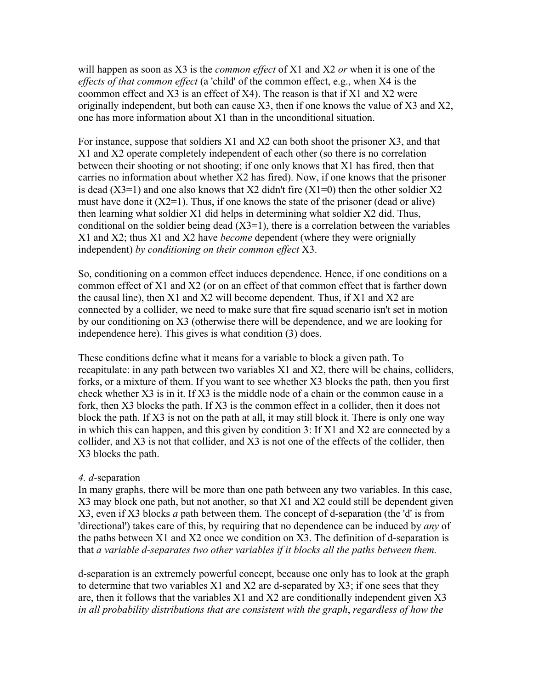will happen as soon as X3 is the *common effect* of X1 and X2 *or* when it is one of the *effects of that common effect* (a 'child' of the common effect, e.g., when X4 is the coommon effect and X3 is an effect of X4). The reason is that if X1 and X2 were originally independent, but both can cause X3, then if one knows the value of X3 and X2, one has more information about X1 than in the unconditional situation.

For instance, suppose that soldiers X1 and X2 can both shoot the prisoner X3, and that X1 and X2 operate completely independent of each other (so there is no correlation between their shooting or not shooting; if one only knows that X1 has fired, then that carries no information about whether X2 has fired). Now, if one knows that the prisoner is dead  $(X3=1)$  and one also knows that X2 didn't fire  $(X1=0)$  then the other soldier X2 must have done it  $(X2=1)$ . Thus, if one knows the state of the prisoner (dead or alive) then learning what soldier X1 did helps in determining what soldier X2 did. Thus, conditional on the soldier being dead  $(X3=1)$ , there is a correlation between the variables X1 and X2; thus X1 and X2 have *become* dependent (where they were orignially independent) *by conditioning on their common effect* X3.

So, conditioning on a common effect induces dependence. Hence, if one conditions on a common effect of X1 and X2 (or on an effect of that common effect that is farther down the causal line), then X1 and X2 will become dependent. Thus, if X1 and X2 are connected by a collider, we need to make sure that fire squad scenario isn't set in motion by our conditioning on X3 (otherwise there will be dependence, and we are looking for independence here). This gives is what condition (3) does.

These conditions define what it means for a variable to block a given path. To recapitulate: in any path between two variables X1 and X2, there will be chains, colliders, forks, or a mixture of them. If you want to see whether X3 blocks the path, then you first check whether X3 is in it. If X3 is the middle node of a chain or the common cause in a fork, then X3 blocks the path. If X3 is the common effect in a collider, then it does not block the path. If X3 is not on the path at all, it may still block it. There is only one way in which this can happen, and this given by condition 3: If X1 and X2 are connected by a collider, and X3 is not that collider, and X3 is not one of the effects of the collider, then X3 blocks the path.

## *4. d-*separation

In many graphs, there will be more than one path between any two variables. In this case, X3 may block one path, but not another, so that X1 and X2 could still be dependent given X3, even if X3 blocks *a* path between them. The concept of d-separation (the 'd' is from 'directional') takes care of this, by requiring that no dependence can be induced by *any* of the paths between X1 and X2 once we condition on X3. The definition of d-separation is that *a variable d-separates two other variables if it blocks all the paths between them.* 

d-separation is an extremely powerful concept, because one only has to look at the graph to determine that two variables X1 and X2 are d-separated by X3; if one sees that they are, then it follows that the variables X1 and X2 are conditionally independent given X3 *in all probability distributions that are consistent with the graph*, *regardless of how the*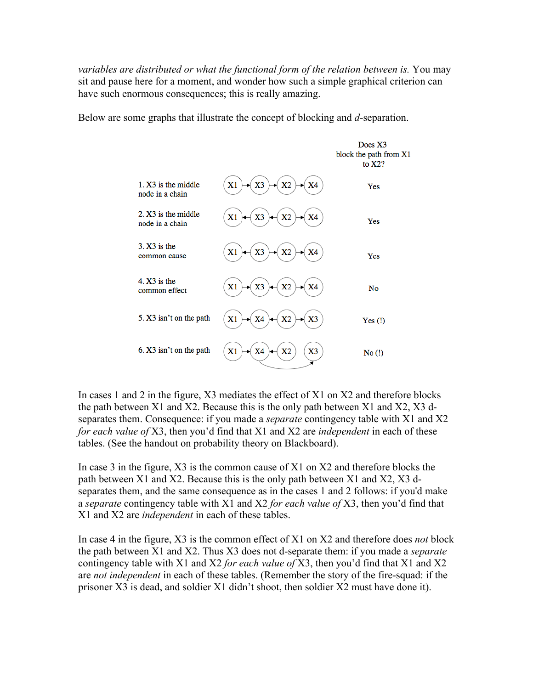*variables are distributed or what the functional form of the relation between is. You may* sit and pause here for a moment, and wonder how such a simple graphical criterion can have such enormous consequences; this is really amazing.

Below are some graphs that illustrate the concept of blocking and *d-*separation.

|                                          |                                  | Does X3<br>block the path from X1<br>to $X2$ ? |
|------------------------------------------|----------------------------------|------------------------------------------------|
| $1. X3$ is the middle<br>node in a chain | X2<br>X1<br>X3<br>X4             | Yes                                            |
| 2. X3 is the middle<br>node in a chain   | X3<br>X1<br>X <sub>2</sub><br>X4 | Yes                                            |
| $3. X3$ is the<br>common cause           | X1<br>X3<br>X <sub>2</sub><br>X4 | Yes                                            |
| $4. X3$ is the<br>common effect          | X3<br>X <sub>2</sub><br>X1<br>X4 | <b>No</b>                                      |
| 5. X3 isn't on the path                  | X1<br>X <sub>2</sub><br>X3<br>X4 | Yes $(!)$                                      |
| 6. X3 isn't on the path                  | X3<br>X1<br>X4<br>X <sub>2</sub> | No(!)                                          |

In cases 1 and 2 in the figure, X3 mediates the effect of X1 on X2 and therefore blocks the path between X1 and X2. Because this is the only path between X1 and X2, X3 dseparates them. Consequence: if you made a *separate* contingency table with X1 and X2 *for each value of* X3, then you'd find that X1 and X2 are *independent* in each of these tables. (See the handout on probability theory on Blackboard).

In case 3 in the figure, X3 is the common cause of X1 on X2 and therefore blocks the path between X1 and X2. Because this is the only path between X1 and X2, X3 dseparates them, and the same consequence as in the cases 1 and 2 follows: if you'd make a *separate* contingency table with X1 and X2 *for each value of* X3, then you'd find that X1 and X2 are *independent* in each of these tables.

In case 4 in the figure, X3 is the common effect of X1 on X2 and therefore does *not* block the path between X1 and X2. Thus X3 does not d-separate them: if you made a *separate* contingency table with X1 and X2 *for each value of* X3, then you'd find that X1 and X2 are *not independent* in each of these tables. (Remember the story of the fire-squad: if the prisoner X3 is dead, and soldier X1 didn't shoot, then soldier X2 must have done it).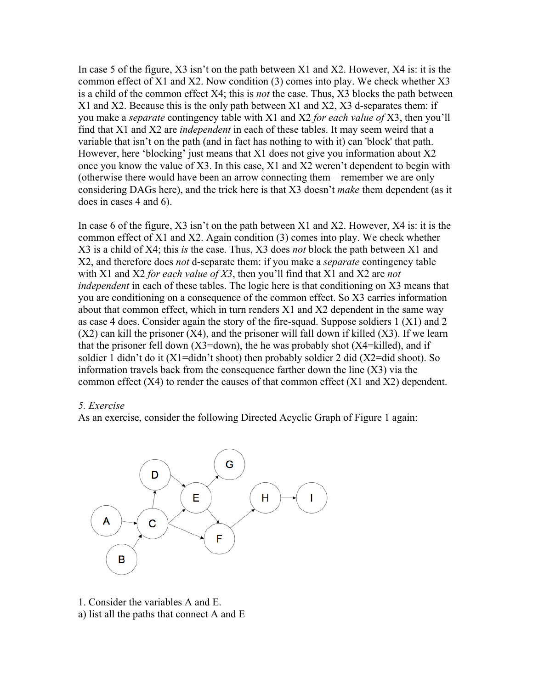In case 5 of the figure, X3 isn't on the path between X1 and X2. However, X4 is: it is the common effect of X1 and X2. Now condition (3) comes into play. We check whether X3 is a child of the common effect X4; this is *not* the case. Thus, X3 blocks the path between X1 and X2. Because this is the only path between X1 and X2, X3 d-separates them: if you make a *separate* contingency table with X1 and X2 *for each value of* X3, then you'll find that X1 and X2 are *independent* in each of these tables. It may seem weird that a variable that isn't on the path (and in fact has nothing to with it) can 'block' that path. However, here 'blocking' just means that X1 does not give you information about X2 once you know the value of X3. In this case, X1 and X2 weren't dependent to begin with (otherwise there would have been an arrow connecting them – remember we are only considering DAGs here), and the trick here is that X3 doesn't *make* them dependent (as it does in cases 4 and 6).

In case 6 of the figure, X3 isn't on the path between X1 and X2. However, X4 is: it is the common effect of X1 and X2. Again condition (3) comes into play. We check whether X3 is a child of X4; this *is* the case. Thus, X3 does *not* block the path between X1 and X2, and therefore does *not* d-separate them: if you make a *separate* contingency table with X1 and X2 *for each value of X3*, then you'll find that X1 and X2 are *not independent* in each of these tables. The logic here is that conditioning on X3 means that you are conditioning on a consequence of the common effect. So X3 carries information about that common effect, which in turn renders X1 and X2 dependent in the same way as case 4 does. Consider again the story of the fire-squad. Suppose soldiers 1 (X1) and 2  $(X2)$  can kill the prisoner  $(X4)$ , and the prisoner will fall down if killed  $(X3)$ . If we learn that the prisoner fell down  $(X3=down)$ , the he was probably shot  $(X4=killed)$ , and if soldier 1 didn't do it  $(X1 = \text{diam}^t t \text{ shoot})$  then probably soldier 2 did  $(X2 = \text{diam}^t s \text{ shoot})$ . So information travels back from the consequence farther down the line (X3) via the common effect (X4) to render the causes of that common effect (X1 and X2) dependent.

#### *5. Exercise*

As an exercise, consider the following Directed Acyclic Graph of Figure 1 again:



1. Consider the variables A and E. a) list all the paths that connect A and E